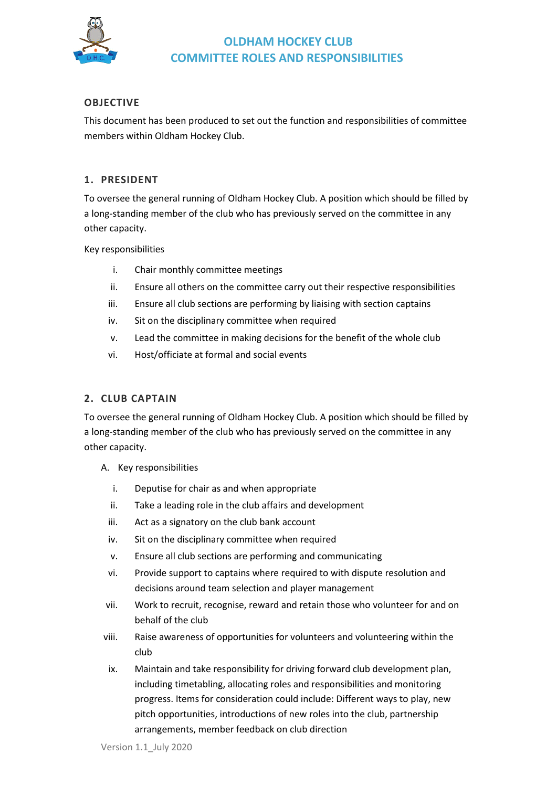

### **OBJECTIVE**

This document has been produced to set out the function and responsibilities of committee members within Oldham Hockey Club.

#### **1. PRESIDENT**

To oversee the general running of Oldham Hockey Club. A position which should be filled by a long-standing member of the club who has previously served on the committee in any other capacity.

Key responsibilities

- i. Chair monthly committee meetings
- ii. Ensure all others on the committee carry out their respective responsibilities
- iii. Ensure all club sections are performing by liaising with section captains
- iv. Sit on the disciplinary committee when required
- v. Lead the committee in making decisions for the benefit of the whole club
- vi. Host/officiate at formal and social events

### **2. CLUB CAPTAIN**

To oversee the general running of Oldham Hockey Club. A position which should be filled by a long-standing member of the club who has previously served on the committee in any other capacity.

- A. Key responsibilities
	- i. Deputise for chair as and when appropriate
	- ii. Take a leading role in the club affairs and development
	- iii. Act as a signatory on the club bank account
	- iv. Sit on the disciplinary committee when required
	- v. Ensure all club sections are performing and communicating
	- vi. Provide support to captains where required to with dispute resolution and decisions around team selection and player management
- vii. Work to recruit, recognise, reward and retain those who volunteer for and on behalf of the club
- viii. Raise awareness of opportunities for volunteers and volunteering within the club
- ix. Maintain and take responsibility for driving forward club development plan, including timetabling, allocating roles and responsibilities and monitoring progress. Items for consideration could include: Different ways to play, new pitch opportunities, introductions of new roles into the club, partnership arrangements, member feedback on club direction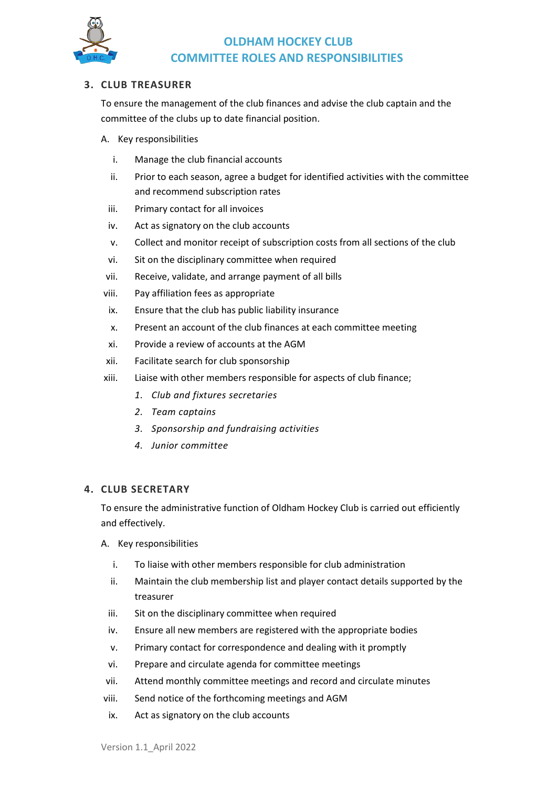

### **3. CLUB TREASURER**

To ensure the management of the club finances and advise the club captain and the committee of the clubs up to date financial position.

- A. Key responsibilities
	- i. Manage the club financial accounts
	- ii. Prior to each season, agree a budget for identified activities with the committee and recommend subscription rates
	- iii. Primary contact for all invoices
	- iv. Act as signatory on the club accounts
	- v. Collect and monitor receipt of subscription costs from all sections of the club
	- vi. Sit on the disciplinary committee when required
- vii. Receive, validate, and arrange payment of all bills
- viii. Pay affiliation fees as appropriate
- ix. Ensure that the club has public liability insurance
- x. Present an account of the club finances at each committee meeting
- xi. Provide a review of accounts at the AGM
- xii. Facilitate search for club sponsorship
- xiii. Liaise with other members responsible for aspects of club finance;
	- *1. Club and fixtures secretaries*
	- *2. Team captains*
	- *3. Sponsorship and fundraising activities*
	- *4. Junior committee*

### **4. CLUB SECRETARY**

To ensure the administrative function of Oldham Hockey Club is carried out efficiently and effectively.

- A. Key responsibilities
	- i. To liaise with other members responsible for club administration
	- ii. Maintain the club membership list and player contact details supported by the treasurer
	- iii. Sit on the disciplinary committee when required
	- iv. Ensure all new members are registered with the appropriate bodies
	- v. Primary contact for correspondence and dealing with it promptly
	- vi. Prepare and circulate agenda for committee meetings
- vii. Attend monthly committee meetings and record and circulate minutes
- viii. Send notice of the forthcoming meetings and AGM
- ix. Act as signatory on the club accounts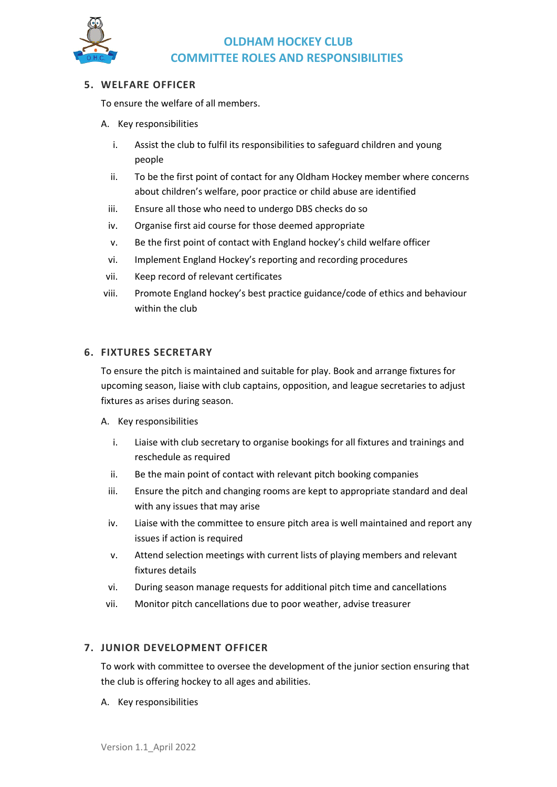

### **5. WELFARE OFFICER**

To ensure the welfare of all members.

- A. Key responsibilities
	- i. Assist the club to fulfil its responsibilities to safeguard children and young people
	- ii. To be the first point of contact for any Oldham Hockey member where concerns about children's welfare, poor practice or child abuse are identified
	- iii. Ensure all those who need to undergo DBS checks do so
	- iv. Organise first aid course for those deemed appropriate
	- v. Be the first point of contact with England hockey's child welfare officer
	- vi. Implement England Hockey's reporting and recording procedures
- vii. Keep record of relevant certificates
- viii. Promote England hockey's best practice guidance/code of ethics and behaviour within the club

#### **6. FIXTURES SECRETARY**

To ensure the pitch is maintained and suitable for play. Book and arrange fixtures for upcoming season, liaise with club captains, opposition, and league secretaries to adjust fixtures as arises during season.

- A. Key responsibilities
	- i. Liaise with club secretary to organise bookings for all fixtures and trainings and reschedule as required
	- ii. Be the main point of contact with relevant pitch booking companies
	- iii. Ensure the pitch and changing rooms are kept to appropriate standard and deal with any issues that may arise
	- iv. Liaise with the committee to ensure pitch area is well maintained and report any issues if action is required
	- v. Attend selection meetings with current lists of playing members and relevant fixtures details
	- vi. During season manage requests for additional pitch time and cancellations
	- vii. Monitor pitch cancellations due to poor weather, advise treasurer

### **7. JUNIOR DEVELOPMENT OFFICER**

To work with committee to oversee the development of the junior section ensuring that the club is offering hockey to all ages and abilities.

A. Key responsibilities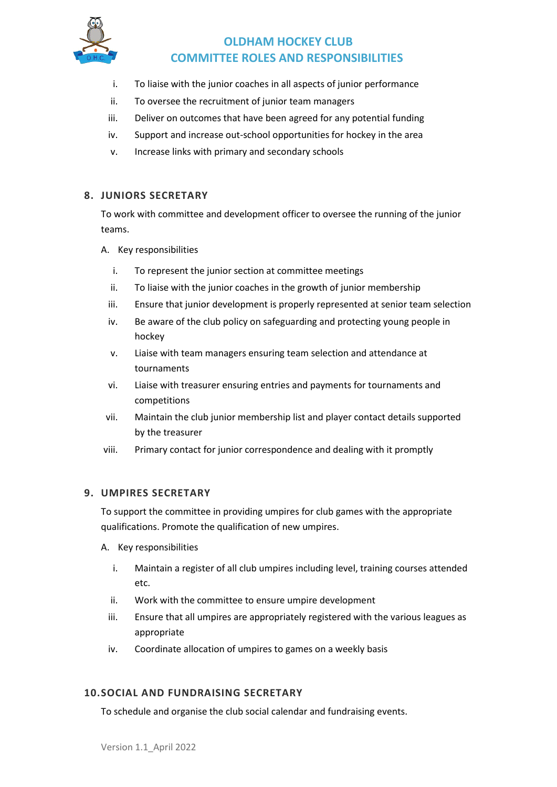

- i. To liaise with the junior coaches in all aspects of junior performance
- ii. To oversee the recruitment of junior team managers
- iii. Deliver on outcomes that have been agreed for any potential funding
- iv. Support and increase out-school opportunities for hockey in the area
- v. Increase links with primary and secondary schools

### **8. JUNIORS SECRETARY**

To work with committee and development officer to oversee the running of the junior teams.

- A. Key responsibilities
	- i. To represent the junior section at committee meetings
	- ii. To liaise with the junior coaches in the growth of junior membership
	- iii. Ensure that junior development is properly represented at senior team selection
	- iv. Be aware of the club policy on safeguarding and protecting young people in hockey
	- v. Liaise with team managers ensuring team selection and attendance at tournaments
	- vi. Liaise with treasurer ensuring entries and payments for tournaments and competitions
- vii. Maintain the club junior membership list and player contact details supported by the treasurer
- viii. Primary contact for junior correspondence and dealing with it promptly

### **9. UMPIRES SECRETARY**

To support the committee in providing umpires for club games with the appropriate qualifications. Promote the qualification of new umpires.

- A. Key responsibilities
	- i. Maintain a register of all club umpires including level, training courses attended etc.
	- ii. Work with the committee to ensure umpire development
	- iii. Ensure that all umpires are appropriately registered with the various leagues as appropriate
	- iv. Coordinate allocation of umpires to games on a weekly basis

### **10.SOCIAL AND FUNDRAISING SECRETARY**

To schedule and organise the club social calendar and fundraising events.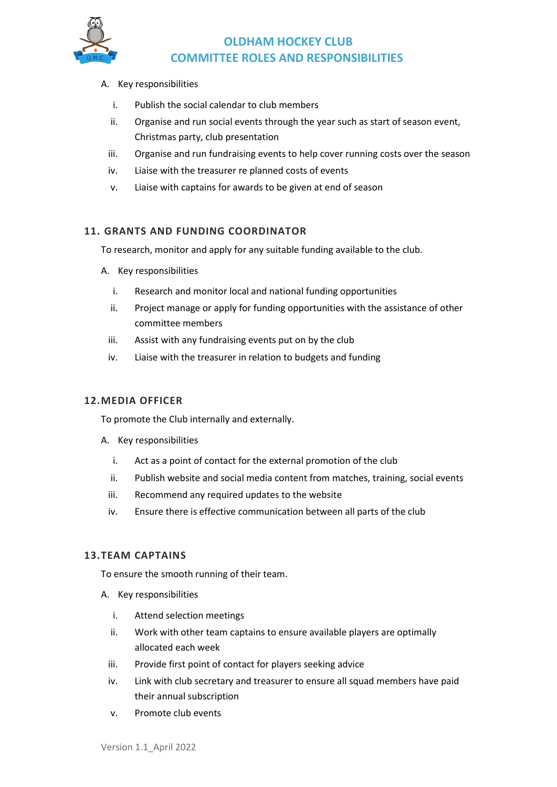

#### A. Key responsibilities

- i. Publish the social calendar to club members
- ii. Organise and run social events through the year such as start of season event, Christmas party, club presentation
- iii. Organise and run fundraising events to help cover running costs over the season
- iv. Liaise with the treasurer re planned costs of events
- v. Liaise with captains for awards to be given at end of season

### **11. GRANTS AND FUNDING COORDINATOR**

To research, monitor and apply for any suitable funding available to the club.

- A. Key responsibilities
	- i. Research and monitor local and national funding opportunities
	- ii. Project manage or apply for funding opportunities with the assistance of other committee members
	- iii. Assist with any fundraising events put on by the club
	- iv. Liaise with the treasurer in relation to budgets and funding

### **12.MEDIA OFFICER**

To promote the Club internally and externally.

- A. Key responsibilities
	- i. Act as a point of contact for the external promotion of the club
	- ii. Publish website and social media content from matches, training, social events
	- iii. Recommend any required updates to the website
	- iv. Ensure there is effective communication between all parts of the club

#### **13.TEAM CAPTAINS**

To ensure the smooth running of their team.

- A. Key responsibilities
	- i. Attend selection meetings
	- ii. Work with other team captains to ensure available players are optimally allocated each week
	- iii. Provide first point of contact for players seeking advice
	- iv. Link with club secretary and treasurer to ensure all squad members have paid their annual subscription
	- v. Promote club events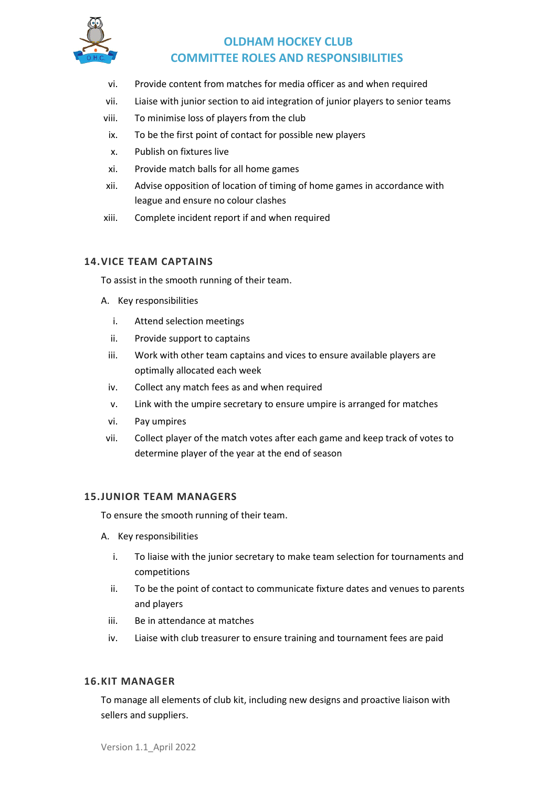

- vi. Provide content from matches for media officer as and when required
- vii. Liaise with junior section to aid integration of junior players to senior teams
- viii. To minimise loss of players from the club
- ix. To be the first point of contact for possible new players
- x. Publish on fixtures live
- xi. Provide match balls for all home games
- xii. Advise opposition of location of timing of home games in accordance with league and ensure no colour clashes
- xiii. Complete incident report if and when required

### **14.VICE TEAM CAPTAINS**

To assist in the smooth running of their team.

- A. Key responsibilities
	- i. Attend selection meetings
	- ii. Provide support to captains
	- iii. Work with other team captains and vices to ensure available players are optimally allocated each week
	- iv. Collect any match fees as and when required
	- v. Link with the umpire secretary to ensure umpire is arranged for matches
	- vi. Pay umpires
- vii. Collect player of the match votes after each game and keep track of votes to determine player of the year at the end of season

#### **15.JUNIOR TEAM MANAGERS**

To ensure the smooth running of their team.

- A. Key responsibilities
	- i. To liaise with the junior secretary to make team selection for tournaments and competitions
	- ii. To be the point of contact to communicate fixture dates and venues to parents and players
	- iii. Be in attendance at matches
	- iv. Liaise with club treasurer to ensure training and tournament fees are paid

#### **16.KIT MANAGER**

To manage all elements of club kit, including new designs and proactive liaison with sellers and suppliers.